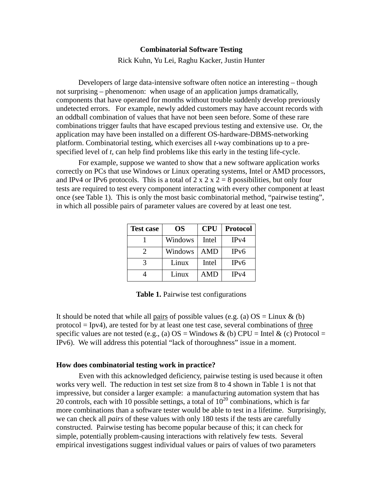# **Combinatorial Software Testing**

Rick Kuhn, Yu Lei, Raghu Kacker, Justin Hunter

 Developers of large data-intensive software often notice an interesting – though not surprising – phenomenon: when usage of an application jumps dramatically, components that have operated for months without trouble suddenly develop previously undetected errors. For example, newly added customers may have account records with an oddball combination of values that have not been seen before. Some of these rare combinations trigger faults that have escaped previous testing and extensive use. Or, the application may have been installed on a different OS-hardware-DBMS-networking platform. Combinatorial testing, which exercises all *t*-way combinations up to a pre-specified level of *t*, can help find problems like this early in the testing life-cycle.

 For example, suppose we wanted to show that a new software application works correctly on PCs that use Windows or Linux operating systems, Intel or AMD processors, and IPv4 or IPv6 protocols. This is a total of  $2 \times 2 \times 2 = 8$  possibilities, but only four tests are required to test every component interacting with every other component at least once (see Table 1). This is only the most basic combinatorial method, "pairwise testing", in which all possible pairs of parameter values are covered by at least one test.

| <b>Test case</b>            | OS      | <b>CPU</b> | <b>Protocol</b> |
|-----------------------------|---------|------------|-----------------|
|                             | Windows | Intel      | IPv4            |
| $\mathcal{D}_{\mathcal{L}}$ | Windows | <b>AMD</b> | IPv6            |
|                             | Linux   | Intel      | IPv6            |
|                             | Linux   | <b>AMD</b> | IPv4            |

**Table 1.** Pairwise test configurations

It should be noted that while all <u>pairs</u> of possible values (e.g. (a)  $OS = Linux & (b)$  $\text{protocol} = \text{Ipv4}$ , are tested for by at least one test case, several combinations of three specific values are not tested (e.g., (a)  $OS =$  Windows & (b) CPU = Intel & (c) Protocol = IPv6). We will address this potential "lack of thoroughness" issue in a moment.

## **How does combinatorial testing work in practice?**

 works very well. The reduction in test set size from 8 to 4 shown in Table 1 is not that impressive, but consider a larger example: a manufacturing automation system that has 20 controls, each with 10 possible settings, a total of  $10^{20}$  combinations, which is far more combinations than a software tester would be able to test in a lifetime. Surprisingly, we can check all *pairs* of these values with only 180 tests if the tests are carefully constructed. Pairwise testing has become popular because of this; it can check for simple, potentially problem-causing interactions with relatively few tests. Several empirical investigations suggest individual values or pairs of values of two parameters Even with this acknowledged deficiency, pairwise testing is used because it often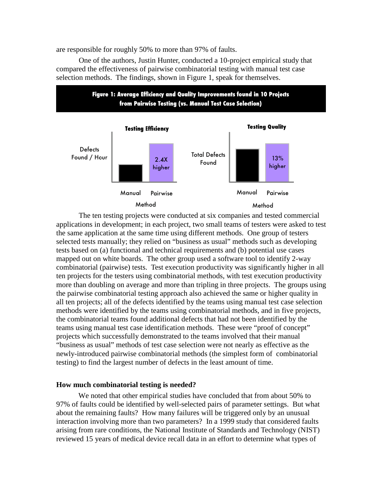are responsible for roughly 50% to more than 97% of faults.

 compared the effectiveness of pairwise combinatorial testing with manual test case selection methods. The findings, shown in Figure 1, speak for themselves. One of the authors, Justin Hunter, conducted a 10-project empirical study that



 applications in development; in each project, two small teams of testers were asked to test the same application at the same time using different methods. One group of testers selected tests manually; they relied on "business as usual" methods such as developing tests based on (a) functional and technical requirements and (b) potential use cases mapped out on white boards. The other group used a software tool to identify 2-way combinatorial (pairwise) tests. Test execution productivity was significantly higher in all ten projects for the testers using combinatorial methods, with test execution productivity more than doubling on average and more than tripling in three projects. The groups using the pairwise combinatorial testing approach also achieved the same or higher quality in all ten projects; all of the defects identified by the teams using manual test case selection methods were identified by the teams using combinatorial methods, and in five projects, the combinatorial teams found additional defects that had not been identified by the teams using manual test case identification methods. These were "proof of concept" projects which successfully demonstrated to the teams involved that their manual "business as usual" methods of test case selection were not nearly as effective as the newly-introduced pairwise combinatorial methods (the simplest form of combinatorial testing) to find the largest number of defects in the least amount of time. The ten testing projects were conducted at six companies and tested commercial

## **How much combinatorial testing is needed?**

 We noted that other empirical studies have concluded that from about 50% to 97% of faults could be identified by well-selected pairs of parameter settings. But what about the remaining faults? How many failures will be triggered only by an unusual interaction involving more than two parameters? In a 1999 study that considered faults arising from rare conditions, the National Institute of Standards and Technology (NIST) reviewed 15 years of medical device recall data in an effort to determine what types of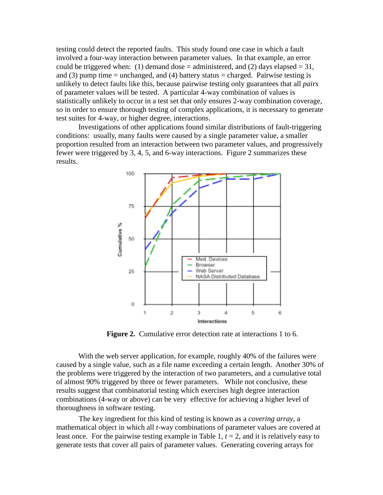testing could detect the reported faults. This study found one case in which a fault involved a four-way interaction between parameter values. In that example, an error could be triggered when: (1) demand dose = administered, and (2) days elapsed = 31, and  $(3)$  pump time = unchanged, and  $(4)$  battery status = charged. Pairwise testing is unlikely to detect faults like this, because pairwise testing only guarantees that all *pairs*  of parameter values will be tested. A particular 4-way combination of values is statistically unlikely to occur in a test set that only ensures 2-way combination coverage, so in order to ensure thorough testing of complex applications, it is necessary to generate test suites for 4-way, or higher degree, interactions.

 Investigations of other applications found similar distributions of fault-triggering conditions: usually, many faults were caused by a single parameter value, a smaller proportion resulted from an interaction between two parameter values, and progressively fewer were triggered by 3, 4, 5, and 6-way interactions. Figure 2 summarizes these results.



**Figure 2.** Cumulative error detection rate at interactions 1 to 6.

 With the web server application, for example, roughly 40% of the failures were caused by a single value, such as a file name exceeding a certain length. Another 30% of the problems were triggered by the interaction of two parameters, and a cumulative total of almost 90% triggered by three or fewer parameters. While not conclusive, these results suggest that combinatorial testing which exercises high degree interaction combinations (4-way or above) can be very effective for achieving a higher level of thoroughness in software testing.

 The key ingredient for this kind of testing is known as a *covering array*, a mathematical object in which all *t*-way combinations of parameter values are covered at least once. For the pairwise testing example in Table 1,  $t = 2$ , and it is relatively easy to generate tests that cover all pairs of parameter values. Generating covering arrays for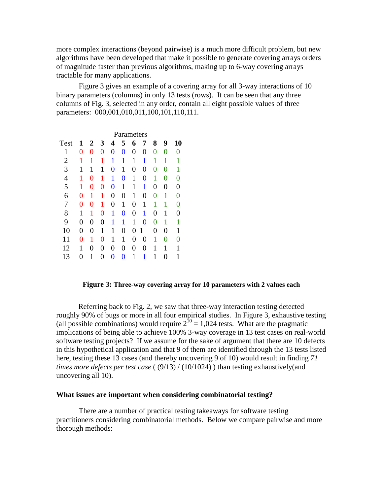more complex interactions (beyond pairwise) is a much more difficult problem, but new algorithms have been developed that make it possible to generate covering arrays orders of magnitude faster than previous algorithms, making up to 6-way covering arrays tractable for many applications.

 Figure 3 gives an example of a covering array for all 3-way interactions of 10 binary parameters (columns) in only 13 tests (rows). It can be seen that any three columns of Fig. 3, selected in any order, contain all eight possible values of three parameters: 000,001,010,011,100,101,110,111.

|                | Parameters |   |                |                |   |   |                |                |   |                   |  |
|----------------|------------|---|----------------|----------------|---|---|----------------|----------------|---|-------------------|--|
| Test           | 1          | 2 | 3              | 4              | 5 | 6 | 7              | 8              | 9 | 10                |  |
| 1              | 0          | 0 | $\overline{0}$ | $\overline{0}$ | 0 | 0 | 0              | 0              | 0 | $\mathbf{\Omega}$ |  |
| $\overline{2}$ |            |   | 1              | 1              | 1 | 1 | 1              | 1              | 1 |                   |  |
| 3              | 1          | 1 | 1              | 0              | 1 | 0 | $\overline{0}$ | 0              | 0 | 1                 |  |
| $\overline{4}$ |            | 0 | 1              | 1              | 0 | 1 | $\overline{0}$ | 1              | 0 |                   |  |
| 5              | 1          | 0 | 0              | 0              | 1 | 1 | 1              | 0              | 0 | 0                 |  |
| 6              | 0          | 1 | 1              | $\overline{0}$ | 0 | 1 | 0              | 0              | 1 |                   |  |
| 7              | 0          | 0 | 1              | $\overline{0}$ | 1 | 0 | 1              | 1              | 1 |                   |  |
| 8              |            | 1 | 0              | 1              | 0 | 0 | 1              | 0              | 1 |                   |  |
| 9              | 0          | 0 | 0              | 1              | 1 | 1 | 0              | 0              | 1 | 1                 |  |
| 10             | 0          | 0 | 1              | 1              | 0 | 0 | 1              | $\overline{0}$ | 0 | 1                 |  |
| 11             | 0          | 1 | 0              | 1              | 1 | 0 | 0              | 1              | 0 |                   |  |
| 12             | 1          | 0 | 0              | 0              | 0 | 0 | 0              | 1              | 1 | 1                 |  |
| 13             | 0          | 1 | $\theta$       | $\bf{0}$       | 0 | 1 |                | 1              | 0 | 1                 |  |

# **Figure 3: Three-way covering array for 10 parameters with 2 values each**

 Referring back to Fig. 2, we saw that three-way interaction testing detected implications of being able to achieve 100% 3-way coverage in 13 test cases on real-world software testing projects? If we assume for the sake of argument that there are 10 defects in this hypothetical application and that 9 of them are identified through the 13 tests listed here, testing these 13 cases (and thereby uncovering 9 of 10) would result in finding *71 times more defects per test case* ( (9/13) / (10/1024) ) than testing exhaustively(and uncovering all 10). roughly 90% of bugs or more in all four empirical studies. In Figure 3, exhaustive testing (all possible combinations) would require  $2^{10} = 1,024$  tests. What are the pragmatic

## **What issues are important when considering combinatorial testing?**

 There are a number of practical testing takeaways for software testing practitioners considering combinatorial methods. Below we compare pairwise and more thorough methods: